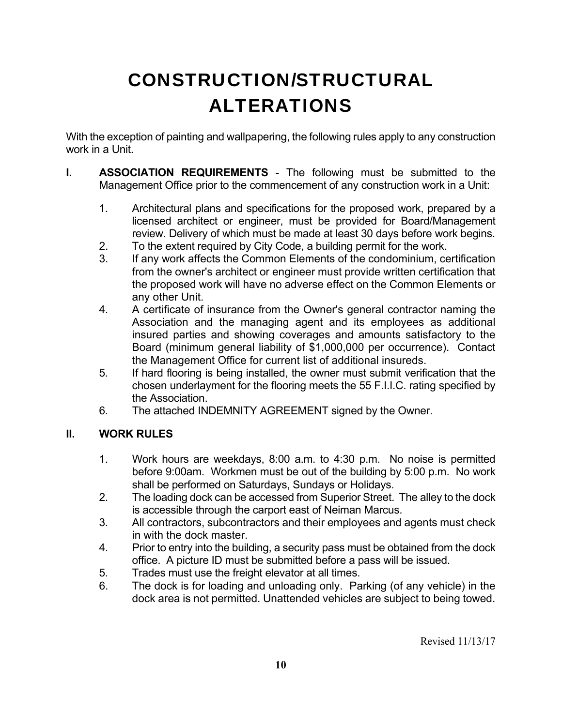# CONSTRUCTION/STRUCTURAL ALTERATIONS

With the exception of painting and wallpapering, the following rules apply to any construction work in a Unit.

- **I. ASSOCIATION REQUIREMENTS** The following must be submitted to the Management Office prior to the commencement of any construction work in a Unit:
	- 1. Architectural plans and specifications for the proposed work, prepared by a licensed architect or engineer, must be provided for Board/Management review. Delivery of which must be made at least 30 days before work begins.
	- 2. To the extent required by City Code, a building permit for the work.
	- 3. If any work affects the Common Elements of the condominium, certification from the owner's architect or engineer must provide written certification that the proposed work will have no adverse effect on the Common Elements or any other Unit.
	- 4. A certificate of insurance from the Owner's general contractor naming the Association and the managing agent and its employees as additional insured parties and showing coverages and amounts satisfactory to the Board (minimum general liability of \$1,000,000 per occurrence). Contact the Management Office for current list of additional insureds.
	- 5. If hard flooring is being installed, the owner must submit verification that the chosen underlayment for the flooring meets the 55 F.I.I.C. rating specified by the Association.
	- 6. The attached INDEMNITY AGREEMENT signed by the Owner.

#### **II. WORK RULES**

- 1. Work hours are weekdays, 8:00 a.m. to 4:30 p.m. No noise is permitted before 9:00am. Workmen must be out of the building by 5:00 p.m. No work shall be performed on Saturdays, Sundays or Holidays.
- 2. The loading dock can be accessed from Superior Street. The alley to the dock is accessible through the carport east of Neiman Marcus.
- 3. All contractors, subcontractors and their employees and agents must check in with the dock master.
- 4. Prior to entry into the building, a security pass must be obtained from the dock office. A picture ID must be submitted before a pass will be issued.
- 5. Trades must use the freight elevator at all times.
- 6. The dock is for loading and unloading only. Parking (of any vehicle) in the dock area is not permitted. Unattended vehicles are subject to being towed.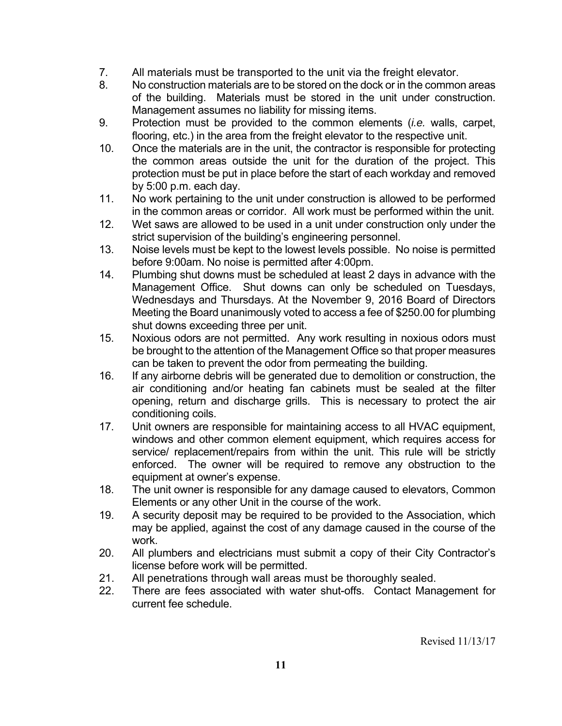- 7. All materials must be transported to the unit via the freight elevator.
- 8. No construction materials are to be stored on the dock or in the common areas of the building. Materials must be stored in the unit under construction. Management assumes no liability for missing items.
- 9. Protection must be provided to the common elements (*i.e.* walls, carpet, flooring, etc.) in the area from the freight elevator to the respective unit.
- 10. Once the materials are in the unit, the contractor is responsible for protecting the common areas outside the unit for the duration of the project. This protection must be put in place before the start of each workday and removed by 5:00 p.m. each day.
- 11. No work pertaining to the unit under construction is allowed to be performed in the common areas or corridor. All work must be performed within the unit.
- 12. Wet saws are allowed to be used in a unit under construction only under the strict supervision of the building's engineering personnel.
- 13. Noise levels must be kept to the lowest levels possible. No noise is permitted before 9:00am. No noise is permitted after 4:00pm.
- 14. Plumbing shut downs must be scheduled at least 2 days in advance with the Management Office. Shut downs can only be scheduled on Tuesdays, Wednesdays and Thursdays. At the November 9, 2016 Board of Directors Meeting the Board unanimously voted to access a fee of \$250.00 for plumbing shut downs exceeding three per unit.
- 15. Noxious odors are not permitted. Any work resulting in noxious odors must be brought to the attention of the Management Office so that proper measures can be taken to prevent the odor from permeating the building.
- 16. If any airborne debris will be generated due to demolition or construction, the air conditioning and/or heating fan cabinets must be sealed at the filter opening, return and discharge grills. This is necessary to protect the air conditioning coils.
- 17. Unit owners are responsible for maintaining access to all HVAC equipment, windows and other common element equipment, which requires access for service/ replacement/repairs from within the unit. This rule will be strictly enforced. The owner will be required to remove any obstruction to the equipment at owner's expense.
- 18. The unit owner is responsible for any damage caused to elevators, Common Elements or any other Unit in the course of the work.
- 19. A security deposit may be required to be provided to the Association, which may be applied, against the cost of any damage caused in the course of the work.
- 20. All plumbers and electricians must submit a copy of their City Contractor's license before work will be permitted.
- 21. All penetrations through wall areas must be thoroughly sealed.
- 22. There are fees associated with water shut-offs. Contact Management for current fee schedule.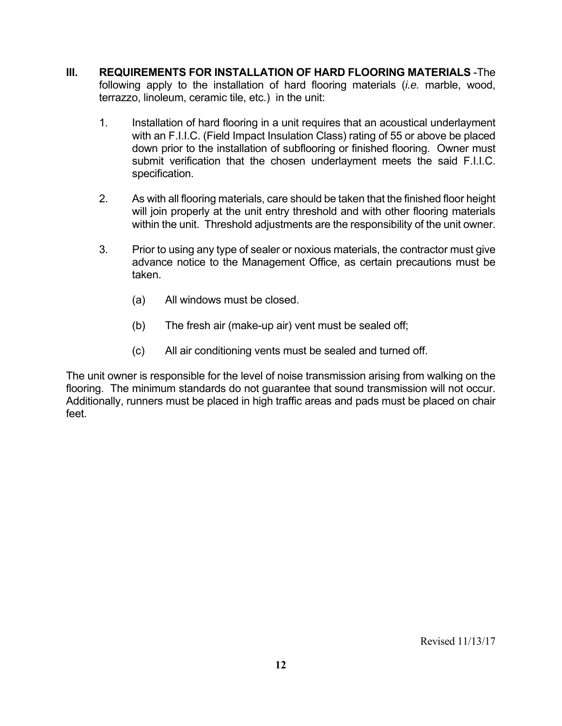- **III. REQUIREMENTS FOR INSTALLATION OF HARD FLOORING MATERIALS** -The following apply to the installation of hard flooring materials (*i.e.* marble, wood, terrazzo, linoleum, ceramic tile, etc.) in the unit:
	- 1. Installation of hard flooring in a unit requires that an acoustical underlayment with an F.I.I.C. (Field Impact Insulation Class) rating of 55 or above be placed down prior to the installation of subflooring or finished flooring. Owner must submit verification that the chosen underlayment meets the said F.I.I.C. specification.
	- 2. As with all flooring materials, care should be taken that the finished floor height will join properly at the unit entry threshold and with other flooring materials within the unit. Threshold adjustments are the responsibility of the unit owner.
	- 3. Prior to using any type of sealer or noxious materials, the contractor must give advance notice to the Management Office, as certain precautions must be taken.
		- (a) All windows must be closed.
		- (b) The fresh air (make-up air) vent must be sealed off;
		- (c) All air conditioning vents must be sealed and turned off.

The unit owner is responsible for the level of noise transmission arising from walking on the flooring. The minimum standards do not guarantee that sound transmission will not occur. Additionally, runners must be placed in high traffic areas and pads must be placed on chair feet.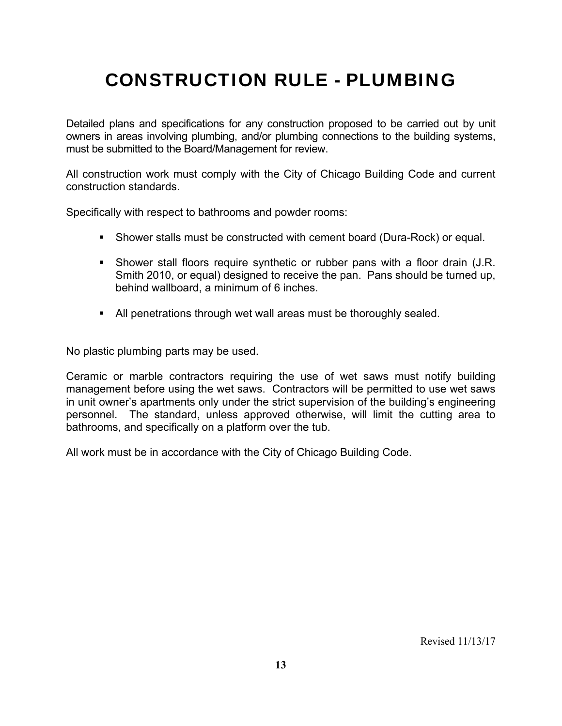## CONSTRUCTION RULE - PLUMBING

Detailed plans and specifications for any construction proposed to be carried out by unit owners in areas involving plumbing, and/or plumbing connections to the building systems, must be submitted to the Board/Management for review.

All construction work must comply with the City of Chicago Building Code and current construction standards.

Specifically with respect to bathrooms and powder rooms:

- Shower stalls must be constructed with cement board (Dura-Rock) or equal.
- Shower stall floors require synthetic or rubber pans with a floor drain (J.R. Smith 2010, or equal) designed to receive the pan. Pans should be turned up, behind wallboard, a minimum of 6 inches.
- All penetrations through wet wall areas must be thoroughly sealed.

No plastic plumbing parts may be used.

Ceramic or marble contractors requiring the use of wet saws must notify building management before using the wet saws. Contractors will be permitted to use wet saws in unit owner's apartments only under the strict supervision of the building's engineering personnel. The standard, unless approved otherwise, will limit the cutting area to bathrooms, and specifically on a platform over the tub.

All work must be in accordance with the City of Chicago Building Code.

Revised 11/13/17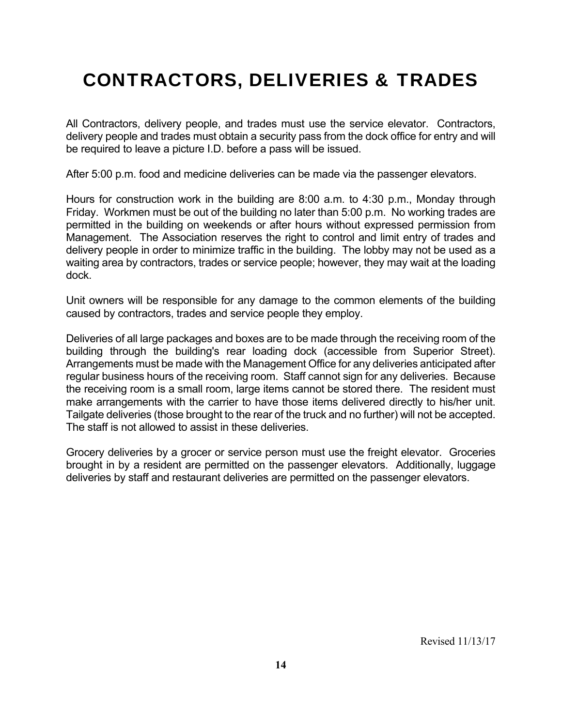## CONTRACTORS, DELIVERIES & TRADES

All Contractors, delivery people, and trades must use the service elevator. Contractors, delivery people and trades must obtain a security pass from the dock office for entry and will be required to leave a picture I.D. before a pass will be issued.

After 5:00 p.m. food and medicine deliveries can be made via the passenger elevators.

Hours for construction work in the building are 8:00 a.m. to 4:30 p.m., Monday through Friday. Workmen must be out of the building no later than 5:00 p.m. No working trades are permitted in the building on weekends or after hours without expressed permission from Management. The Association reserves the right to control and limit entry of trades and delivery people in order to minimize traffic in the building. The lobby may not be used as a waiting area by contractors, trades or service people; however, they may wait at the loading dock.

Unit owners will be responsible for any damage to the common elements of the building caused by contractors, trades and service people they employ.

Deliveries of all large packages and boxes are to be made through the receiving room of the building through the building's rear loading dock (accessible from Superior Street). Arrangements must be made with the Management Office for any deliveries anticipated after regular business hours of the receiving room. Staff cannot sign for any deliveries. Because the receiving room is a small room, large items cannot be stored there. The resident must make arrangements with the carrier to have those items delivered directly to his/her unit. Tailgate deliveries (those brought to the rear of the truck and no further) will not be accepted. The staff is not allowed to assist in these deliveries.

Grocery deliveries by a grocer or service person must use the freight elevator. Groceries brought in by a resident are permitted on the passenger elevators. Additionally, luggage deliveries by staff and restaurant deliveries are permitted on the passenger elevators.

Revised 11/13/17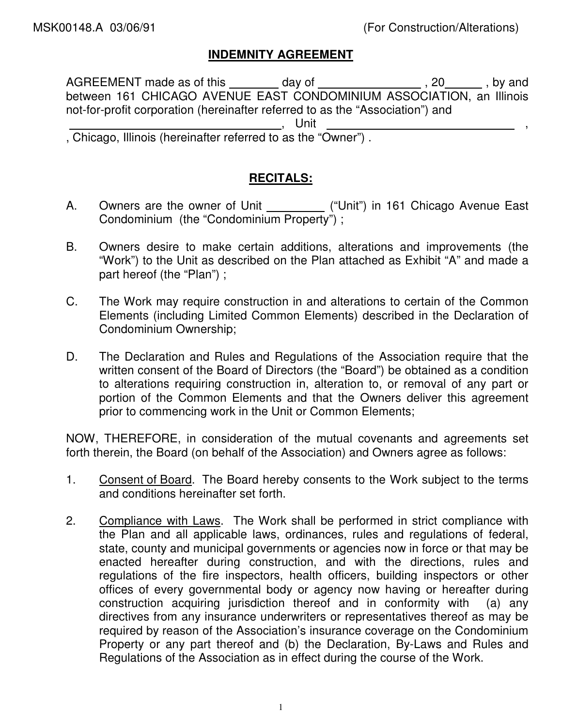### **INDEMNITY AGREEMENT**

AGREEMENT made as of this \_\_\_\_\_\_\_\_ day of \_\_\_\_\_\_\_\_\_\_\_\_\_\_\_\_\_, 20 \_\_\_\_\_\_, by and between 161 CHICAGO AVENUE EAST CONDOMINIUM ASSOCIATION, an Illinois not-for-profit corporation (hereinafter referred to as the "Association") and , Unit , , Chicago, Illinois (hereinafter referred to as the "Owner") .

### **RECITALS:**

- A. Owners are the owner of Unit \_\_\_\_\_\_\_\_\_\_\_ ("Unit") in 161 Chicago Avenue East Condominium (the "Condominium Property") ;
- B. Owners desire to make certain additions, alterations and improvements (the "Work") to the Unit as described on the Plan attached as Exhibit "A" and made a part hereof (the "Plan") ;
- C. The Work may require construction in and alterations to certain of the Common Elements (including Limited Common Elements) described in the Declaration of Condominium Ownership;
- D. The Declaration and Rules and Regulations of the Association require that the written consent of the Board of Directors (the "Board") be obtained as a condition to alterations requiring construction in, alteration to, or removal of any part or portion of the Common Elements and that the Owners deliver this agreement prior to commencing work in the Unit or Common Elements;

NOW, THEREFORE, in consideration of the mutual covenants and agreements set forth therein, the Board (on behalf of the Association) and Owners agree as follows:

- 1. Consent of Board. The Board hereby consents to the Work subject to the terms and conditions hereinafter set forth.
- 2. Compliance with Laws. The Work shall be performed in strict compliance with the Plan and all applicable laws, ordinances, rules and regulations of federal, state, county and municipal governments or agencies now in force or that may be enacted hereafter during construction, and with the directions, rules and regulations of the fire inspectors, health officers, building inspectors or other offices of every governmental body or agency now having or hereafter during construction acquiring jurisdiction thereof and in conformity with (a) any directives from any insurance underwriters or representatives thereof as may be required by reason of the Association's insurance coverage on the Condominium Property or any part thereof and (b) the Declaration, By-Laws and Rules and Regulations of the Association as in effect during the course of the Work.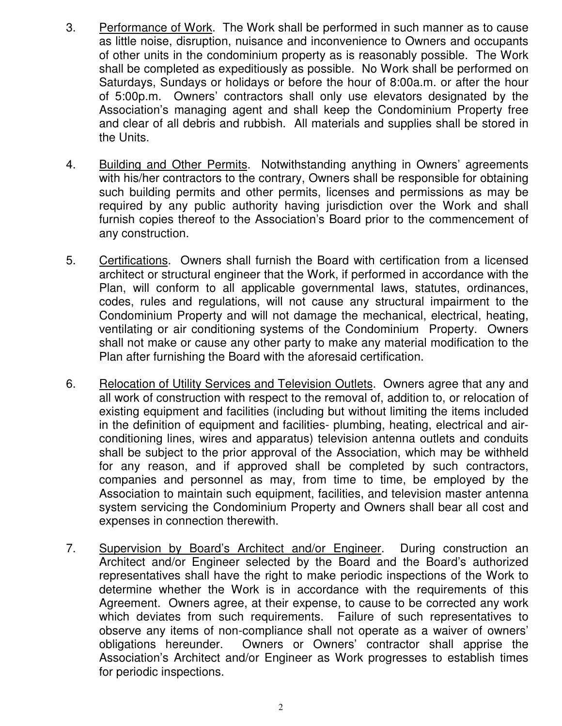- 3. Performance of Work. The Work shall be performed in such manner as to cause as little noise, disruption, nuisance and inconvenience to Owners and occupants of other units in the condominium property as is reasonably possible. The Work shall be completed as expeditiously as possible. No Work shall be performed on Saturdays, Sundays or holidays or before the hour of 8:00a.m. or after the hour of 5:00p.m. Owners' contractors shall only use elevators designated by the Association's managing agent and shall keep the Condominium Property free and clear of all debris and rubbish. All materials and supplies shall be stored in the Units.
- 4. Building and Other Permits. Notwithstanding anything in Owners' agreements with his/her contractors to the contrary, Owners shall be responsible for obtaining such building permits and other permits, licenses and permissions as may be required by any public authority having jurisdiction over the Work and shall furnish copies thereof to the Association's Board prior to the commencement of any construction.
- 5. Certifications. Owners shall furnish the Board with certification from a licensed architect or structural engineer that the Work, if performed in accordance with the Plan, will conform to all applicable governmental laws, statutes, ordinances, codes, rules and regulations, will not cause any structural impairment to the Condominium Property and will not damage the mechanical, electrical, heating, ventilating or air conditioning systems of the Condominium Property. Owners shall not make or cause any other party to make any material modification to the Plan after furnishing the Board with the aforesaid certification.
- 6. Relocation of Utility Services and Television Outlets. Owners agree that any and all work of construction with respect to the removal of, addition to, or relocation of existing equipment and facilities (including but without limiting the items included in the definition of equipment and facilities- plumbing, heating, electrical and airconditioning lines, wires and apparatus) television antenna outlets and conduits shall be subject to the prior approval of the Association, which may be withheld for any reason, and if approved shall be completed by such contractors, companies and personnel as may, from time to time, be employed by the Association to maintain such equipment, facilities, and television master antenna system servicing the Condominium Property and Owners shall bear all cost and expenses in connection therewith.
- 7. Supervision by Board's Architect and/or Engineer. During construction an Architect and/or Engineer selected by the Board and the Board's authorized representatives shall have the right to make periodic inspections of the Work to determine whether the Work is in accordance with the requirements of this Agreement. Owners agree, at their expense, to cause to be corrected any work which deviates from such requirements. Failure of such representatives to observe any items of non-compliance shall not operate as a waiver of owners' obligations hereunder. Owners or Owners' contractor shall apprise the Association's Architect and/or Engineer as Work progresses to establish times for periodic inspections.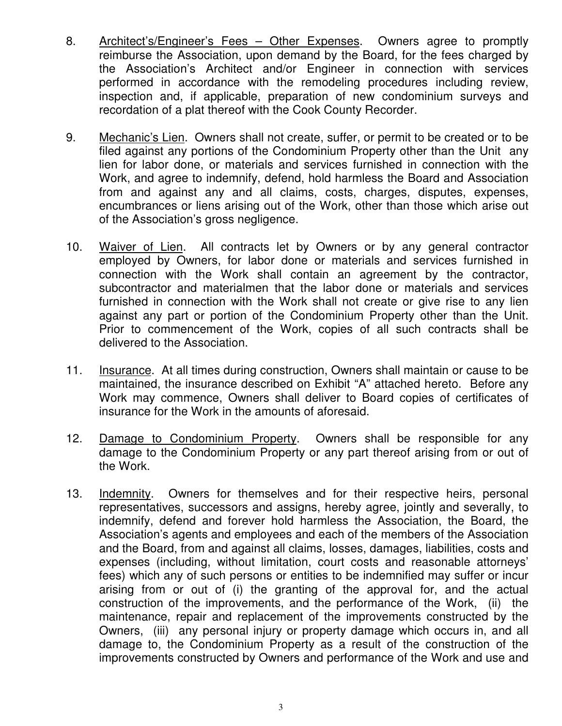- 8. Architect's/Engineer's Fees Other Expenses. Owners agree to promptly reimburse the Association, upon demand by the Board, for the fees charged by the Association's Architect and/or Engineer in connection with services performed in accordance with the remodeling procedures including review, inspection and, if applicable, preparation of new condominium surveys and recordation of a plat thereof with the Cook County Recorder.
- 9. Mechanic's Lien. Owners shall not create, suffer, or permit to be created or to be filed against any portions of the Condominium Property other than the Unit any lien for labor done, or materials and services furnished in connection with the Work, and agree to indemnify, defend, hold harmless the Board and Association from and against any and all claims, costs, charges, disputes, expenses, encumbrances or liens arising out of the Work, other than those which arise out of the Association's gross negligence.
- 10. Waiver of Lien. All contracts let by Owners or by any general contractor employed by Owners, for labor done or materials and services furnished in connection with the Work shall contain an agreement by the contractor, subcontractor and materialmen that the labor done or materials and services furnished in connection with the Work shall not create or give rise to any lien against any part or portion of the Condominium Property other than the Unit. Prior to commencement of the Work, copies of all such contracts shall be delivered to the Association.
- 11. Insurance. At all times during construction, Owners shall maintain or cause to be maintained, the insurance described on Exhibit "A" attached hereto. Before any Work may commence, Owners shall deliver to Board copies of certificates of insurance for the Work in the amounts of aforesaid.
- 12. Damage to Condominium Property. Owners shall be responsible for any damage to the Condominium Property or any part thereof arising from or out of the Work.
- 13. Indemnity. Owners for themselves and for their respective heirs, personal representatives, successors and assigns, hereby agree, jointly and severally, to indemnify, defend and forever hold harmless the Association, the Board, the Association's agents and employees and each of the members of the Association and the Board, from and against all claims, losses, damages, liabilities, costs and expenses (including, without limitation, court costs and reasonable attorneys' fees) which any of such persons or entities to be indemnified may suffer or incur arising from or out of (i) the granting of the approval for, and the actual construction of the improvements, and the performance of the Work, (ii) the maintenance, repair and replacement of the improvements constructed by the Owners, (iii) any personal injury or property damage which occurs in, and all damage to, the Condominium Property as a result of the construction of the improvements constructed by Owners and performance of the Work and use and